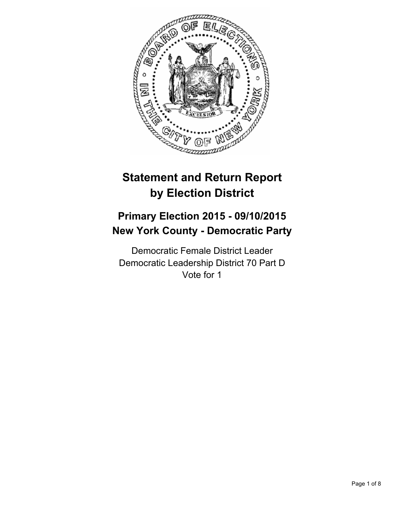

# **Statement and Return Report by Election District**

## **Primary Election 2015 - 09/10/2015 New York County - Democratic Party**

Democratic Female District Leader Democratic Leadership District 70 Part D Vote for 1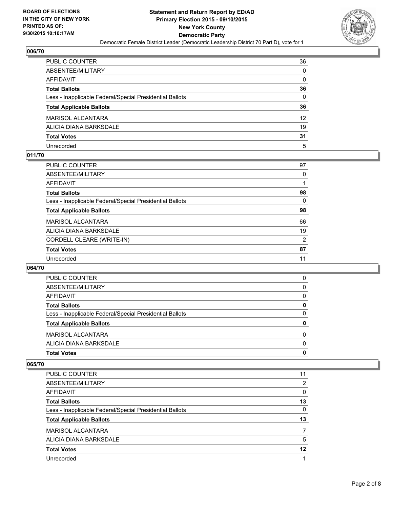

| PUBLIC COUNTER                                           | 36              |
|----------------------------------------------------------|-----------------|
| ABSENTEE/MILITARY                                        | 0               |
| AFFIDAVIT                                                | 0               |
| Total Ballots                                            | 36              |
| Less - Inapplicable Federal/Special Presidential Ballots | 0               |
| <b>Total Applicable Ballots</b>                          | 36              |
| MARISOL ALCANTARA                                        | 12 <sup>2</sup> |
| ALICIA DIANA BARKSDALE                                   | 19              |
| <b>Total Votes</b>                                       | 31              |
| Unrecorded                                               | 5               |

#### **011/70**

| <b>PUBLIC COUNTER</b>                                    | 97       |
|----------------------------------------------------------|----------|
| ABSENTEE/MILITARY                                        | $\Omega$ |
| AFFIDAVIT                                                |          |
| <b>Total Ballots</b>                                     | 98       |
| Less - Inapplicable Federal/Special Presidential Ballots | 0        |
| <b>Total Applicable Ballots</b>                          | 98       |
| MARISOL ALCANTARA                                        | 66       |
| ALICIA DIANA BARKSDALE                                   | 19       |
| CORDELL CLEARE (WRITE-IN)                                | 2        |
| <b>Total Votes</b>                                       | 87       |
| Unrecorded                                               | 11       |
|                                                          |          |

#### **064/70**

| <b>Total Votes</b>                                       | 0 |
|----------------------------------------------------------|---|
| ALICIA DIANA BARKSDALE                                   | 0 |
| <b>MARISOL ALCANTARA</b>                                 | 0 |
| <b>Total Applicable Ballots</b>                          | 0 |
| Less - Inapplicable Federal/Special Presidential Ballots | 0 |
| <b>Total Ballots</b>                                     | 0 |
| <b>AFFIDAVIT</b>                                         | 0 |
| ABSENTEE/MILITARY                                        | 0 |
| PUBLIC COUNTER                                           | 0 |

| PUBLIC COUNTER                                           | 11 |
|----------------------------------------------------------|----|
| ABSENTEE/MILITARY                                        | 2  |
| AFFIDAVIT                                                | 0  |
| <b>Total Ballots</b>                                     | 13 |
| Less - Inapplicable Federal/Special Presidential Ballots | 0  |
| <b>Total Applicable Ballots</b>                          | 13 |
| <b>MARISOL ALCANTARA</b>                                 |    |
| ALICIA DIANA BARKSDALE                                   | 5  |
| <b>Total Votes</b>                                       | 12 |
| Unrecorded                                               |    |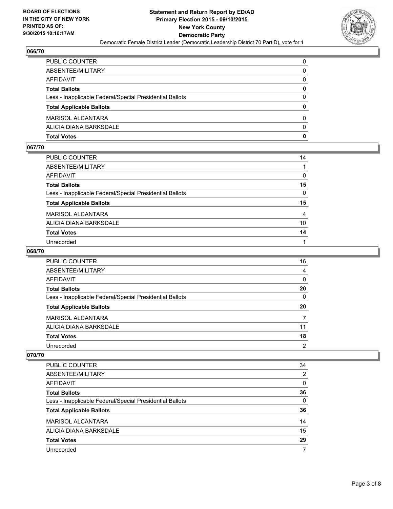

| PUBLIC COUNTER                                           | 0            |
|----------------------------------------------------------|--------------|
| ABSENTEE/MILITARY                                        | 0            |
| AFFIDAVIT                                                | $\mathbf{0}$ |
| <b>Total Ballots</b>                                     | 0            |
| Less - Inapplicable Federal/Special Presidential Ballots | $\Omega$     |
| <b>Total Applicable Ballots</b>                          | $\mathbf{0}$ |
| MARISOL ALCANTARA                                        | 0            |
| ALICIA DIANA BARKSDALE                                   | $\Omega$     |
| Total Votes                                              | $\mathbf{0}$ |

## **067/70**

| PUBLIC COUNTER                                           | 14           |
|----------------------------------------------------------|--------------|
|                                                          |              |
| ABSENTEE/MILITARY                                        |              |
| AFFIDAVIT                                                | 0            |
| <b>Total Ballots</b>                                     | 15           |
| Less - Inapplicable Federal/Special Presidential Ballots | $\mathbf{0}$ |
| <b>Total Applicable Ballots</b>                          | 15           |
| MARISOL ALCANTARA                                        | 4            |
| ALICIA DIANA BARKSDALE                                   | 10           |
| <b>Total Votes</b>                                       | 14           |
| Unrecorded                                               |              |
|                                                          |              |

## **068/70**

| <b>PUBLIC COUNTER</b>                                    | 16       |
|----------------------------------------------------------|----------|
| ABSENTEE/MILITARY                                        | 4        |
| AFFIDAVIT                                                | $\Omega$ |
| <b>Total Ballots</b>                                     | 20       |
| Less - Inapplicable Federal/Special Presidential Ballots | 0        |
| <b>Total Applicable Ballots</b>                          | 20       |
| <b>MARISOL ALCANTARA</b>                                 |          |
| ALICIA DIANA BARKSDALE                                   | 11       |
| <b>Total Votes</b>                                       | 18       |
| Unrecorded                                               | 2        |

| <b>PUBLIC COUNTER</b>                                    | 34       |
|----------------------------------------------------------|----------|
| ABSENTEE/MILITARY                                        | 2        |
| AFFIDAVIT                                                | 0        |
| <b>Total Ballots</b>                                     | 36       |
| Less - Inapplicable Federal/Special Presidential Ballots | $\Omega$ |
| <b>Total Applicable Ballots</b>                          | 36       |
| <b>MARISOL ALCANTARA</b>                                 | 14       |
| ALICIA DIANA BARKSDALE                                   | 15       |
| <b>Total Votes</b>                                       | 29       |
| Unrecorded                                               |          |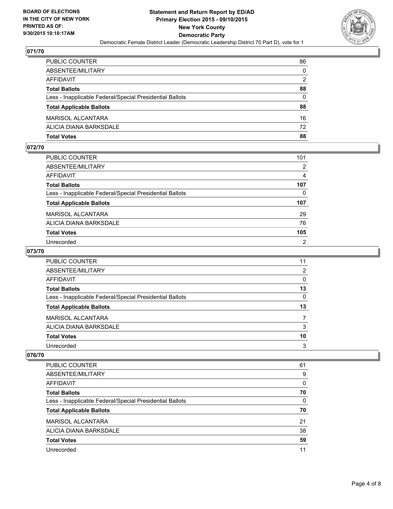

| PUBLIC COUNTER                                           | 86           |
|----------------------------------------------------------|--------------|
| ABSENTEE/MILITARY                                        | $\mathbf{0}$ |
| AFFIDAVIT                                                | 2            |
| <b>Total Ballots</b>                                     | 88           |
| Less - Inapplicable Federal/Special Presidential Ballots | $\Omega$     |
| <b>Total Applicable Ballots</b>                          | 88           |
| MARISOL ALCANTARA                                        | 16           |
| ALICIA DIANA BARKSDALE                                   | 72           |
| Total Votes                                              | 88           |

## **072/70**

| 101            |
|----------------|
| $\overline{2}$ |
| 4              |
| 107            |
| 0              |
| 107            |
| 29             |
| 76             |
| 105            |
| $\overline{2}$ |
|                |

## **073/70**

| <b>PUBLIC COUNTER</b>                                    | 11 |
|----------------------------------------------------------|----|
| ABSENTEE/MILITARY                                        | 2  |
| AFFIDAVIT                                                | 0  |
| <b>Total Ballots</b>                                     | 13 |
| Less - Inapplicable Federal/Special Presidential Ballots | 0  |
| <b>Total Applicable Ballots</b>                          | 13 |
| <b>MARISOL ALCANTARA</b>                                 |    |
| ALICIA DIANA BARKSDALE                                   | 3  |
| <b>Total Votes</b>                                       | 10 |
| Unrecorded                                               | 3  |

| <b>PUBLIC COUNTER</b>                                    | 61 |
|----------------------------------------------------------|----|
| ABSENTEE/MILITARY                                        | 9  |
| AFFIDAVIT                                                | 0  |
| <b>Total Ballots</b>                                     | 70 |
| Less - Inapplicable Federal/Special Presidential Ballots | 0  |
| <b>Total Applicable Ballots</b>                          | 70 |
| MARISOL ALCANTARA                                        | 21 |
| ALICIA DIANA BARKSDALE                                   | 38 |
| <b>Total Votes</b>                                       | 59 |
|                                                          |    |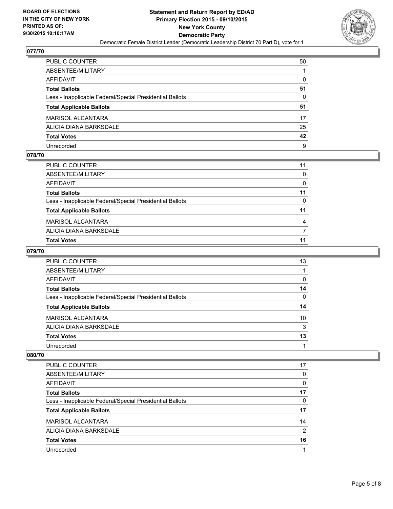

| PUBLIC COUNTER                                           | 50 |
|----------------------------------------------------------|----|
| ABSENTEE/MILITARY                                        |    |
| AFFIDAVIT                                                | 0  |
| Total Ballots                                            | 51 |
| Less - Inapplicable Federal/Special Presidential Ballots | 0  |
| <b>Total Applicable Ballots</b>                          | 51 |
| MARISOL ALCANTARA                                        | 17 |
| ALICIA DIANA BARKSDALE                                   | 25 |
| <b>Total Votes</b>                                       | 42 |
| Unrecorded                                               | 9  |

#### **078/70**

| PUBLIC COUNTER                                           | 11 |
|----------------------------------------------------------|----|
| ABSENTEE/MILITARY                                        | 0  |
| AFFIDAVIT                                                | 0  |
| Total Ballots                                            | 11 |
| Less - Inapplicable Federal/Special Presidential Ballots | 0  |
| <b>Total Applicable Ballots</b>                          | 11 |
| MARISOL ALCANTARA                                        | 4  |
| ALICIA DIANA BARKSDALE                                   |    |
| Total Votes                                              | 11 |
|                                                          |    |

## **079/70**

| <b>PUBLIC COUNTER</b>                                    | 13 |
|----------------------------------------------------------|----|
| ABSENTEE/MILITARY                                        |    |
| AFFIDAVIT                                                | 0  |
| <b>Total Ballots</b>                                     | 14 |
| Less - Inapplicable Federal/Special Presidential Ballots | 0  |
| <b>Total Applicable Ballots</b>                          | 14 |
| <b>MARISOL ALCANTARA</b>                                 | 10 |
| ALICIA DIANA BARKSDALE                                   | 3  |
| <b>Total Votes</b>                                       | 13 |
| Unrecorded                                               |    |

| <b>PUBLIC COUNTER</b>                                    | 17 |
|----------------------------------------------------------|----|
| ABSENTEE/MILITARY                                        | 0  |
| AFFIDAVIT                                                | 0  |
| <b>Total Ballots</b>                                     | 17 |
| Less - Inapplicable Federal/Special Presidential Ballots | 0  |
| <b>Total Applicable Ballots</b>                          | 17 |
| <b>MARISOL ALCANTARA</b>                                 | 14 |
| ALICIA DIANA BARKSDALE                                   | 2  |
| <b>Total Votes</b>                                       | 16 |
| Unrecorded                                               |    |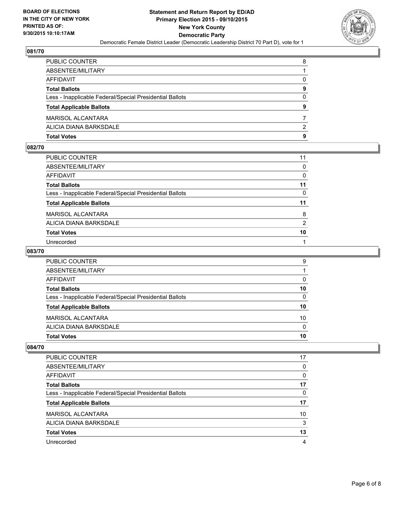

| PUBLIC COUNTER                                           | 8            |
|----------------------------------------------------------|--------------|
| ABSENTEE/MILITARY                                        |              |
| AFFIDAVIT                                                | $\mathbf{0}$ |
| Total Ballots                                            | 9            |
| Less - Inapplicable Federal/Special Presidential Ballots | $\mathbf{0}$ |
| <b>Total Applicable Ballots</b>                          | 9            |
| MARISOL ALCANTARA                                        |              |
| ALICIA DIANA BARKSDALE                                   | 2            |
| Total Votes                                              | 9            |

## **082/70**

| PUBLIC COUNTER                                           | 11       |
|----------------------------------------------------------|----------|
| ABSENTEE/MILITARY                                        | $\Omega$ |
| <b>AFFIDAVIT</b>                                         | 0        |
| <b>Total Ballots</b>                                     | 11       |
| Less - Inapplicable Federal/Special Presidential Ballots | $\Omega$ |
| <b>Total Applicable Ballots</b>                          | 11       |
| <b>MARISOL ALCANTARA</b>                                 | 8        |
| ALICIA DIANA BARKSDALE                                   | 2        |
| <b>Total Votes</b>                                       | 10       |
| Unrecorded                                               |          |

## **083/70**

| <b>Total Votes</b>                                       | 10       |
|----------------------------------------------------------|----------|
| ALICIA DIANA BARKSDALE                                   | $\Omega$ |
| <b>MARISOL ALCANTARA</b>                                 | 10       |
| <b>Total Applicable Ballots</b>                          | 10       |
| Less - Inapplicable Federal/Special Presidential Ballots | 0        |
| <b>Total Ballots</b>                                     | 10       |
| AFFIDAVIT                                                | 0        |
| ABSENTEE/MILITARY                                        |          |
| PUBLIC COUNTER                                           | 9        |

| PUBLIC COUNTER                                           | 17 |
|----------------------------------------------------------|----|
| ABSENTEE/MILITARY                                        | 0  |
| AFFIDAVIT                                                | 0  |
| <b>Total Ballots</b>                                     | 17 |
| Less - Inapplicable Federal/Special Presidential Ballots | 0  |
| <b>Total Applicable Ballots</b>                          | 17 |
| MARISOL ALCANTARA                                        | 10 |
| ALICIA DIANA BARKSDALE                                   | 3  |
| <b>Total Votes</b>                                       | 13 |
| Unrecorded                                               | 4  |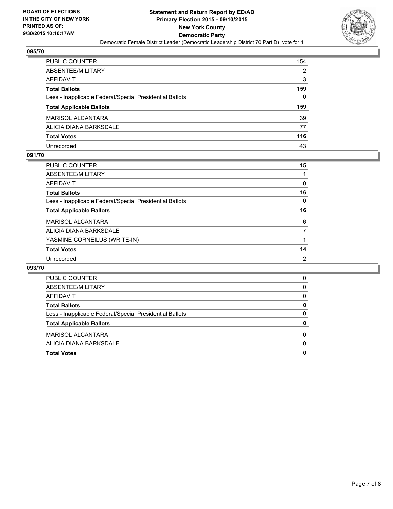

| PUBLIC COUNTER                                           | 154 |
|----------------------------------------------------------|-----|
| ABSENTEE/MILITARY                                        | 2   |
| AFFIDAVIT                                                | 3   |
| Total Ballots                                            | 159 |
| Less - Inapplicable Federal/Special Presidential Ballots | 0   |
| <b>Total Applicable Ballots</b>                          | 159 |
| MARISOL ALCANTARA                                        | 39  |
| ALICIA DIANA BARKSDALE                                   | 77  |
| Total Votes                                              | 116 |
| Unrecorded                                               | 43  |

#### **091/70**

| PUBLIC COUNTER                                           | 15 |
|----------------------------------------------------------|----|
| ABSENTEE/MILITARY                                        |    |
| AFFIDAVIT                                                | 0  |
| <b>Total Ballots</b>                                     | 16 |
| Less - Inapplicable Federal/Special Presidential Ballots | 0  |
| <b>Total Applicable Ballots</b>                          | 16 |
| MARISOL ALCANTARA                                        | 6  |
| ALICIA DIANA BARKSDALE                                   | 7  |
| YASMINE CORNEILUS (WRITE-IN)                             | 1  |
| <b>Total Votes</b>                                       | 14 |
| Unrecorded                                               | 2  |
|                                                          |    |

| <b>PUBLIC COUNTER</b>                                    | 0        |
|----------------------------------------------------------|----------|
| ABSENTEE/MILITARY                                        | $\Omega$ |
| AFFIDAVIT                                                | $\Omega$ |
| <b>Total Ballots</b>                                     | 0        |
| Less - Inapplicable Federal/Special Presidential Ballots | 0        |
| <b>Total Applicable Ballots</b>                          | 0        |
| <b>MARISOL ALCANTARA</b>                                 | 0        |
| ALICIA DIANA BARKSDALE                                   | $\Omega$ |
| <b>Total Votes</b>                                       | 0        |
|                                                          |          |